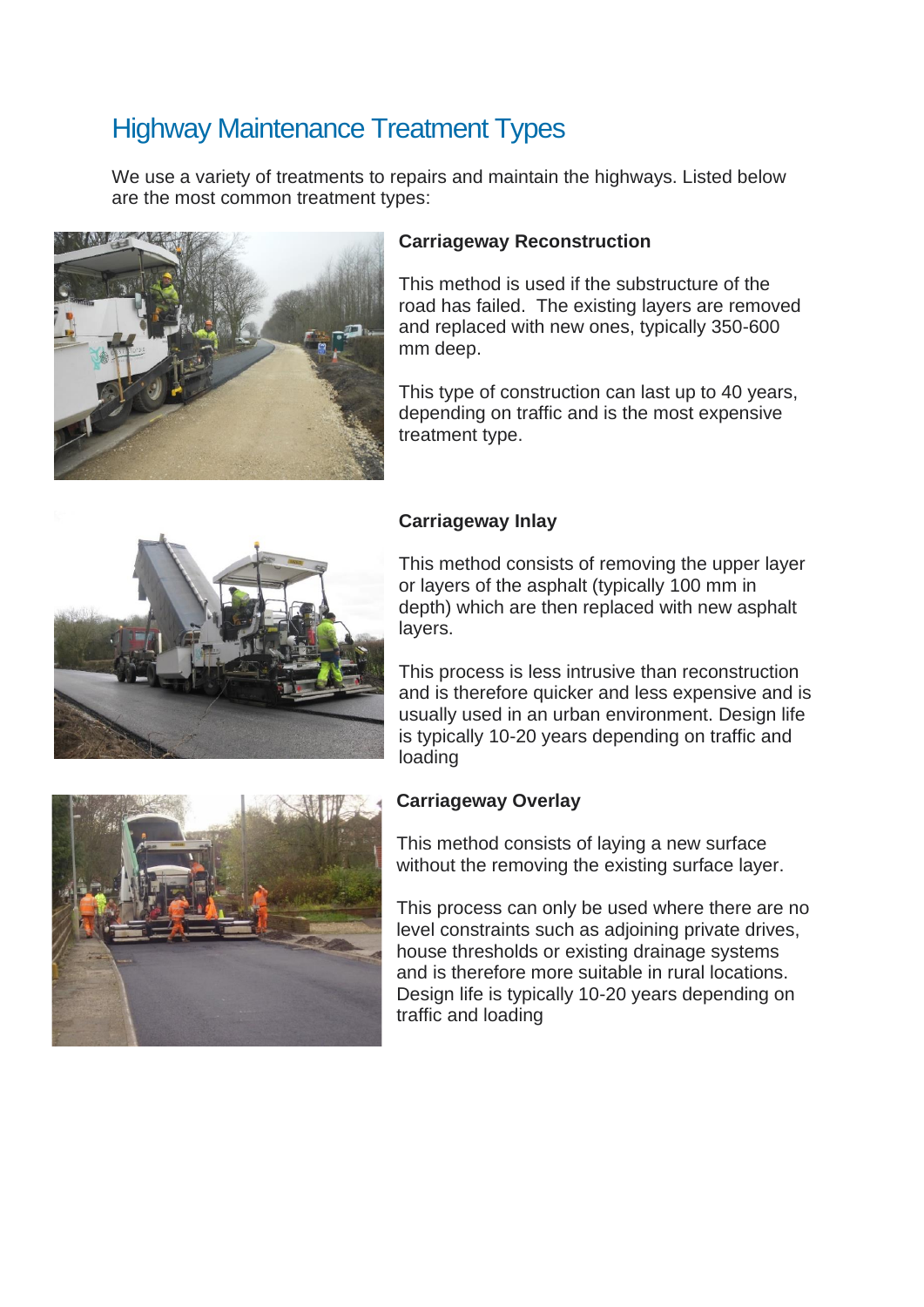# Highway Maintenance Treatment Types

We use a variety of treatments to repairs and maintain the highways. Listed below are the most common treatment types:



#### **Carriageway Reconstruction**

This method is used if the substructure of the road has failed. The existing layers are removed and replaced with new ones, typically 350-600 mm deep.

This type of construction can last up to 40 years, depending on traffic and is the most expensive treatment type.



# **Carriageway Inlay**

This method consists of removing the upper layer or layers of the asphalt (typically 100 mm in depth) which are then replaced with new asphalt layers.

This process is less intrusive than reconstruction and is therefore quicker and less expensive and is usually used in an urban environment. Design life is typically 10-20 years depending on traffic and loading

#### **Carriageway Overlay**

This method consists of laying a new surface without the removing the existing surface layer.

This process can only be used where there are no level constraints such as adjoining private drives, house thresholds or existing drainage systems and is therefore more suitable in rural locations. Design life is typically 10-20 years depending on traffic and loading

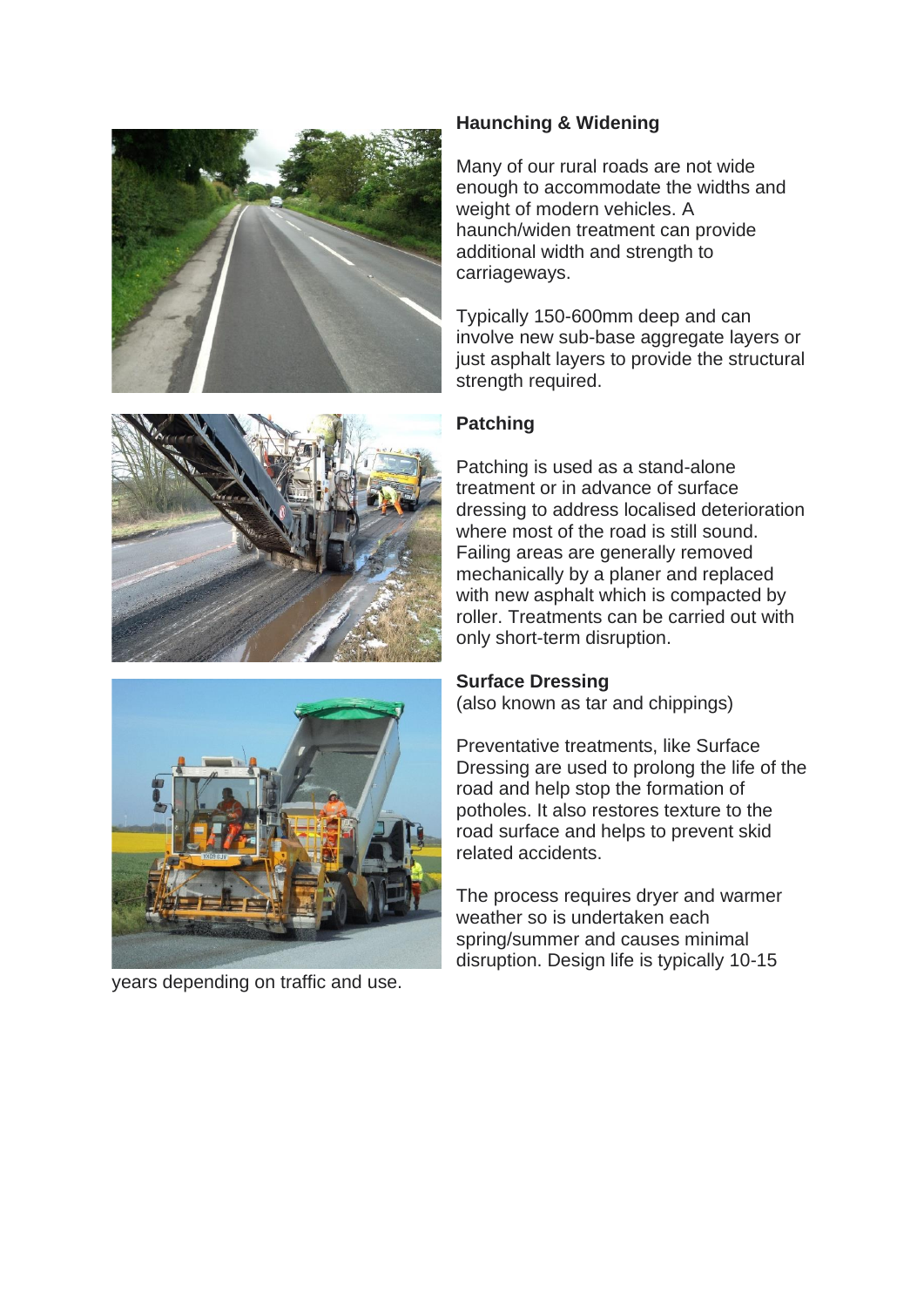



years depending on traffic and use.

# **Haunching & Widening**

Many of our rural roads are not wide enough to accommodate the widths and weight of modern vehicles. A haunch/widen treatment can provide additional width and strength to carriageways.

Typically 150-600mm deep and can involve new sub-base aggregate layers or just asphalt layers to provide the structural strength required.

# **Patching**

Patching is used as a stand-alone treatment or in advance of surface dressing to address localised deterioration where most of the road is still sound. Failing areas are generally removed mechanically by a planer and replaced with new asphalt which is compacted by roller. Treatments can be carried out with only short-term disruption.

#### **Surface Dressing**

(also known as tar and chippings)

Preventative treatments, like Surface Dressing are used to prolong the life of the road and help stop the formation of potholes. It also restores texture to the road surface and helps to prevent skid related accidents.

The process requires dryer and warmer weather so is undertaken each spring/summer and causes minimal disruption. Design life is typically 10-15